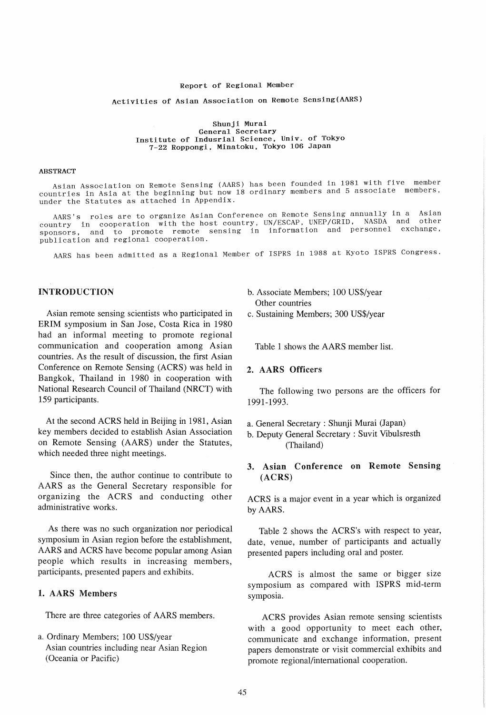#### Report of Regional Member

# Activities of Asian Association on Remote Sensing(AARS)

#### Shunji Murai General Secretary General Secretary<br>Institute of Indusrial Science, Univ. of Tokyo 7-22 Roppongi. Minatoku. Tokyo 106 Japan

#### ABSTRACT

Asian Association on Remote Sensing (AARS) has been founded in 1981 with five member countries in Asia at the beginning but now 18 ordinary members and 5 associate members, under the Statutes as attached in Appendix.

AARS's roles are to organize Asian Conference on Remote Sensing annually in a Asian country in cooperation with the host country, UN/ESCAP, UNEP/GRID, NASDA and sponsors, and to promote remote sensing in information and personnel exchange, publication and regional cooperation.

AARS has been admitted as a Regional Member of ISPRS in 1988 at Kyoto ISPRS Congress.

# INTRODUCTION

Asian remote sensing scientists who participated in BRIM symposium in San Jose, Costa Rica in 1980 had an informal meeting to promote regional communication and cooperation among Asian countries. As the result of discussion, the first Asian Conference on Remote Sensing (ACRS) was held in Bangkok, Thailand in 1980 in cooperation with National Research Council of Thailand (NRCT) with 159 participants.

At the second ACRS held in Beijing in 1981, Asian key members decided to establish Asian Association on Remote Sensing (AARS) under the Statutes, which needed three night meetings.

Since then, the author continue to contribute to AARS as the General Secretary responsible for organizing the ACRS and conducting other administrative works.

As there was no such organization nor periodical symposium in Asian region before the establishment, AARS and ACRS have become popular among Asian people which results in increasing members, participants, presented papers and exhibits.

## 1. AARS Members

There are three categories of AARS members.

a. Ordinary Members; 100 US\$/year Asian countries including near Asian Region (Oceania or Pacific)

- b. Associate Members; 100 US\$/year Other countries
- c. Sustaining Members; 300 US\$/year

Table 1 shows the AARS member list.

### 2. AARS Officers

The following two persons are the officers for 1991-1993.

- a. General Secretary: Shunji Murai (Japan)
- b. Deputy General Secretary : Suvit Vibulsresth (Thailand)

## 3. Asian Conference on Remote Sensing (ACRS)

ACRS is a major event in a year which is organized by AARS.

Table 2 shows the ACRS's with respect to year, date, venue, number of participants and actually presented papers including oral and poster.

ACRS is almost the same or bigger size symposium as compared with ISPRS mid-term symposia.

ACRS provides Asian remote sensing scientists with a good opportunity to meet each other, communicate and exchange information, present papers demonstrate or visit commercial exhibits and promote regional/international cooperation.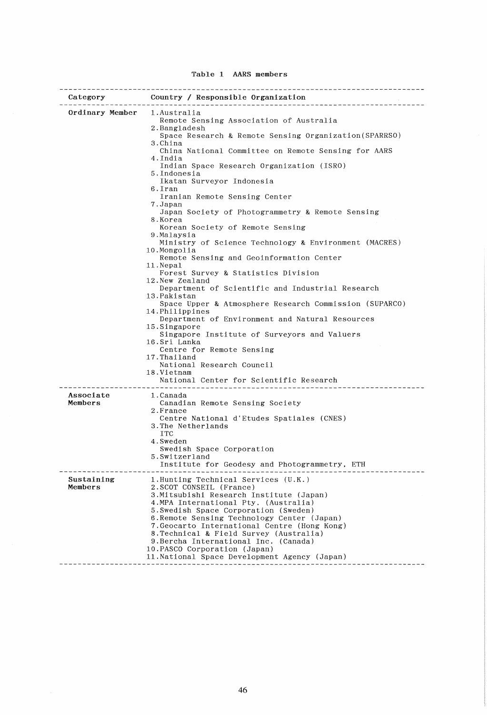| Table 1<br>AARS members |  |
|-------------------------|--|
|-------------------------|--|

| Ordinary Member       | 1.Australia<br>Remote Sensing Association of Australia<br>2.Bangladesh<br>Space Research & Remote Sensing Organization (SPARRSO)<br>3.China<br>China National Committee on Remote Sensing for AARS<br>4.India<br>Indian Space Research Organization (ISRO)<br>5.Indonesia<br>Ikatan Surveyor Indonesia<br>6.Iran<br>Iranian Remote Sensing Center<br>7.Japan<br>Japan Society of Photogrammetry & Remote Sensing<br>8.Korea<br>Korean Society of Remote Sensing<br>9.Malaysia<br>Ministry of Science Technology & Environment (MACRES)<br>10.Mongolia<br>Remote Sensing and Geoinformation Center<br>11. Nepal<br>Forest Survey & Statistics Division<br>12. New Zealand<br>Department of Scientific and Industrial Research<br>13.Pakistan<br>Space Upper & Atmosphere Research Commission (SUPARCO)<br>14. Philippines<br>Department of Environment and Natural Resources<br>15.Singapore<br>Singapore Institute of Surveyors and Valuers<br>16.Sri Lanka<br>Centre for Remote Sensing<br>17. Thailand<br>National Research Council<br>18.Vietnam<br>National Center for Scientific Research<br>---------------------------- |
|-----------------------|--------------------------------------------------------------------------------------------------------------------------------------------------------------------------------------------------------------------------------------------------------------------------------------------------------------------------------------------------------------------------------------------------------------------------------------------------------------------------------------------------------------------------------------------------------------------------------------------------------------------------------------------------------------------------------------------------------------------------------------------------------------------------------------------------------------------------------------------------------------------------------------------------------------------------------------------------------------------------------------------------------------------------------------------------------------------------------------------------------------------------------|
| Associate<br>Members  | 1.Canada<br>Canadian Remote Sensing Society<br>2.France<br>Centre National d'Etudes Spatiales (CNES)<br>3. The Netherlands<br><b>ITC</b><br>4.Sweden<br>Swedish Space Corporation<br>5.Switzerland<br>Institute for Geodesy and Photogrammetry, ETH                                                                                                                                                                                                                                                                                                                                                                                                                                                                                                                                                                                                                                                                                                                                                                                                                                                                            |
| Sustaining<br>Members | 1. Hunting Technical Services (U.K.)<br>2. SCOT CONSEIL (France)<br>3. Mitsubishi Research Institute (Japan)<br>4. MPA International Pty. (Australia)<br>5. Swedish Space Corporation (Sweden)<br>6. Remote Sensing Technology Center (Japan)<br>7. Geocarto International Centre (Hong Kong)<br>8. Technical & Field Survey (Australia)<br>9. Bercha International Inc. (Canada)<br>10. PASCO Corporation (Japan)<br>11. National Space Development Agency (Japan)                                                                                                                                                                                                                                                                                                                                                                                                                                                                                                                                                                                                                                                            |